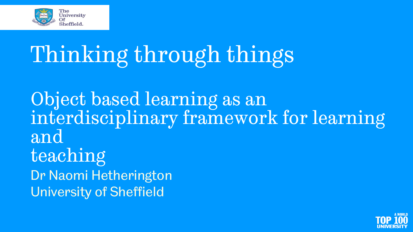

# Thinking through things

Object based learning as an interdisciplinary framework for learning and teaching Dr Naomi Hetherington University of Sheffield

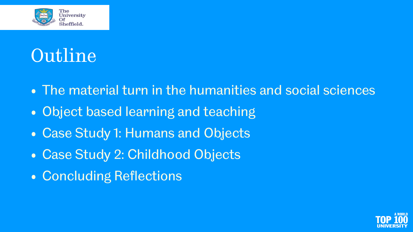

#### Outline

- The material turn in the humanities and social sciences
- Object based learning and teaching
- Case Study 1: Humans and Objects
- Case Study 2: Childhood Objects
- Concluding Reflections

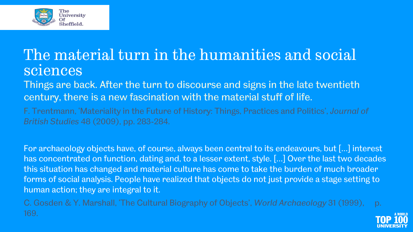

#### The material turn in the humanities and social sciences

Things are back. After the turn to discourse and signs in the late twentieth century, there is a new fascination with the material stuff of life.

F. Trentmann, 'Materiality in the Future of History: Things, Practices and Politics', *Journal of British Studies* 48 (2009), pp. 283-284.

For archaeology objects have, of course, always been central to its endeavours, but […] interest has concentrated on function, dating and, to a lesser extent, style. […] Over the last two decades this situation has changed and material culture has come to take the burden of much broader forms of social analysis. People have realized that objects do not just provide a stage setting to human action; they are integral to it.

C. Gosden & Y. Marshall, 'The Cultural Biography of Objects', *World Archaeology* 31 (1999), p. 169.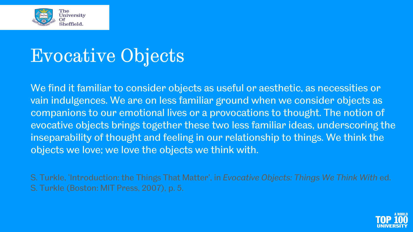

#### Evocative Objects

We find it familiar to consider objects as useful or aesthetic, as necessities or vain indulgences. We are on less familiar ground when we consider objects as companions to our emotional lives or a provocations to thought. The notion of evocative objects brings together these two less familiar ideas, underscoring the inseparability of thought and feeling in our relationship to things. We think the objects we love; we love the objects we think with.

S. Turkle, 'Introduction: the Things That Matter', in *Evocative Objects: Things We Think With* ed. S. Turkle (Boston: MIT Press, 2007), p. 5.

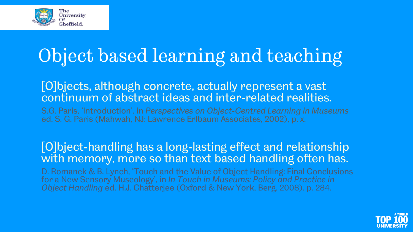

#### Object based learning and teaching

[O]bjects, although concrete, actually represent a vast continuum of abstract ideas and inter-related realities.

S.G. Paris, 'Introduction', in *Perspectives on Object-Centred Learning in Museums*  ed. S. G. Paris (Mahwah, NJ: Lawrence Erlbaum Associates, 2002), p. x.

#### [O]bject-handling has a long-lasting effect and relationship with memory, more so than text based handling often has.

D. Romanek & B. Lynch, 'Touch and the Value of Object Handling: Final Conclusions for a New Sensory Museology', in *In Touch in Museums: Policy and Practice in Object Handling* ed. H.J. Chatterjee (Oxford & New York, Berg, 2008), p. 284.

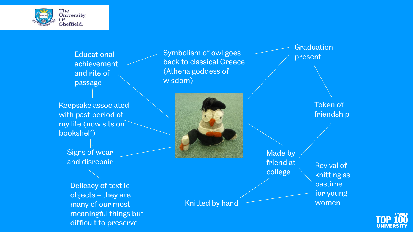

**Educational** achievement and rite of passage

Keepsake associated with past period of my life (now sits on bookshelf)

> Signs of wear and disrepair

Delicacy of textile objects – they are many of our most meaningful things but difficult to preserve

Symbolism of owl goes examines a present back to classical Greece (Athena goddess of wisdom)



Knitted by hand

Graduation

Token of friendship

Made by friend at college Revival of knitting as pastime for young women

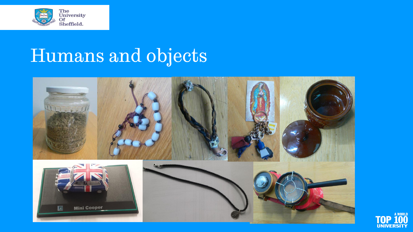

## Humans and objects



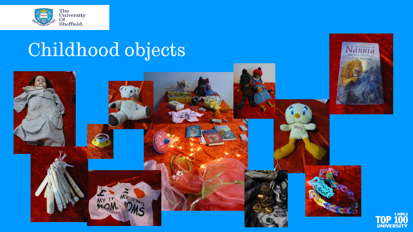

## Childhood objects



The Lion, the Witch and the Wardrobe